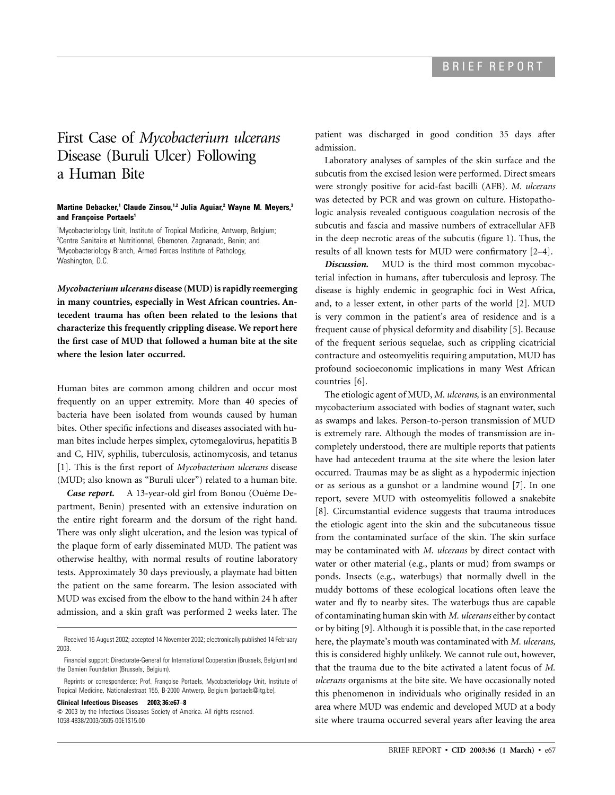## First Case of *Mycobacterium ulcerans* Disease (Buruli Ulcer) Following a Human Bite

## **Martine Debacker,<sup>1</sup> Claude Zinsou,<sup>1,2</sup> Julia Aguiar,<sup>2</sup> Wayne M. Meyers,<sup>3</sup>** and Francoise Portaels<sup>1</sup>

1 Mycobacteriology Unit, Institute of Tropical Medicine, Antwerp, Belgium; <sup>2</sup> Centre Sanitaire et Nutritionnel, Gbemoten, Zagnanado, Benin; and <sup>3</sup>Mycobacteriology Branch, Armed Forces Institute of Pathology, Washington, D.C.

*Mycobacterium ulcerans* **disease (MUD) is rapidly reemerging in many countries, especially in West African countries. Antecedent trauma has often been related to the lesions that characterize this frequently crippling disease. We report here the first case of MUD that followed a human bite at the site where the lesion later occurred.**

Human bites are common among children and occur most frequently on an upper extremity. More than 40 species of bacteria have been isolated from wounds caused by human bites. Other specific infections and diseases associated with human bites include herpes simplex, cytomegalovirus, hepatitis B and C, HIV, syphilis, tuberculosis, actinomycosis, and tetanus [1]. This is the first report of *Mycobacterium ulcerans* disease (MUD; also known as "Buruli ulcer") related to a human bite.

*Case report.* A 13-year-old girl from Bonou (Ouéme Department, Benin) presented with an extensive induration on the entire right forearm and the dorsum of the right hand. There was only slight ulceration, and the lesion was typical of the plaque form of early disseminated MUD. The patient was otherwise healthy, with normal results of routine laboratory tests. Approximately 30 days previously, a playmate had bitten the patient on the same forearm. The lesion associated with MUD was excised from the elbow to the hand within 24 h after admission, and a skin graft was performed 2 weeks later. The

**Clinical Infectious Diseases 2003; 36:e67–8**

 $\odot$  2003 by the Infectious Diseases Society of America. All rights reserved. 1058-4838/2003/3605-00E1\$15.00

patient was discharged in good condition 35 days after admission.

Laboratory analyses of samples of the skin surface and the subcutis from the excised lesion were performed. Direct smears were strongly positive for acid-fast bacilli (AFB). *M. ulcerans* was detected by PCR and was grown on culture. Histopathologic analysis revealed contiguous coagulation necrosis of the subcutis and fascia and massive numbers of extracellular AFB in the deep necrotic areas of the subcutis (figure 1). Thus, the results of all known tests for MUD were confirmatory [2–4].

*Discussion.* MUD is the third most common mycobacterial infection in humans, after tuberculosis and leprosy. The disease is highly endemic in geographic foci in West Africa, and, to a lesser extent, in other parts of the world [2]. MUD is very common in the patient's area of residence and is a frequent cause of physical deformity and disability [5]. Because of the frequent serious sequelae, such as crippling cicatricial contracture and osteomyelitis requiring amputation, MUD has profound socioeconomic implications in many West African countries [6].

The etiologic agent of MUD, *M. ulcerans,* is an environmental mycobacterium associated with bodies of stagnant water, such as swamps and lakes. Person-to-person transmission of MUD is extremely rare. Although the modes of transmission are incompletely understood, there are multiple reports that patients have had antecedent trauma at the site where the lesion later occurred. Traumas may be as slight as a hypodermic injection or as serious as a gunshot or a landmine wound [7]. In one report, severe MUD with osteomyelitis followed a snakebite [8]. Circumstantial evidence suggests that trauma introduces the etiologic agent into the skin and the subcutaneous tissue from the contaminated surface of the skin. The skin surface may be contaminated with *M. ulcerans* by direct contact with water or other material (e.g., plants or mud) from swamps or ponds. Insects (e.g., waterbugs) that normally dwell in the muddy bottoms of these ecological locations often leave the water and fly to nearby sites. The waterbugs thus are capable of contaminating human skin with *M. ulcerans* either by contact or by biting [9]. Although it is possible that, in the case reported here, the playmate's mouth was contaminated with *M. ulcerans,* this is considered highly unlikely. We cannot rule out, however, that the trauma due to the bite activated a latent focus of *M. ulcerans* organisms at the bite site. We have occasionally noted this phenomenon in individuals who originally resided in an area where MUD was endemic and developed MUD at a body site where trauma occurred several years after leaving the area

Received 16 August 2002; accepted 14 November 2002; electronically published 14 February 2003.

Financial support: Directorate-General for International Cooperation (Brussels, Belgium) and the Damien Foundation (Brussels, Belgium).

Reprints or correspondence: Prof. Françoise Portaels, Mycobacteriology Unit, Institute of Tropical Medicine, Nationalestraat 155, B-2000 Antwerp, Belgium (portaels@itg.be).